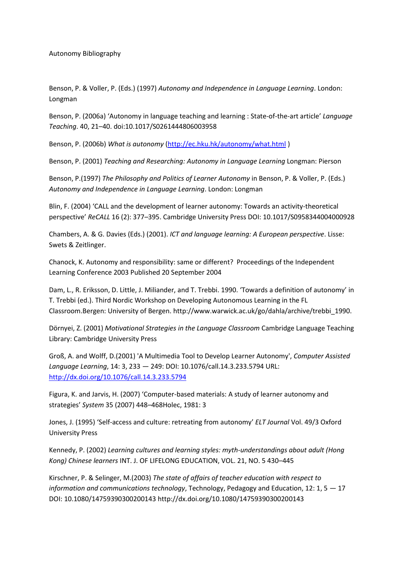Autonomy Bibliography

Benson, P. & Voller, P. (Eds.) (1997) *Autonomy and Independence in Language Learning*. London: Longman

Benson, P. (2006a) 'Autonomy in language teaching and learning : State-of-the-art article' *Language Teaching*. 40, 21–40. doi:10.1017/S0261444806003958

Benson, P. (2006b) *What is autonomy* [\(http://ec.hku.hk/autonomy/what.html](http://ec.hku.hk/autonomy/what.html) )

Benson, P. (2001) *Teaching and Researching: Autonomy in Language Learning* Longman: Pierson

Benson, P.(1997) *The Philosophy and Politics of Learner Autonomy* in Benson, P. & Voller, P. (Eds.) *Autonomy and Independence in Language Learning*. London: Longman

Blin, F. (2004) 'CALL and the development of learner autonomy: Towards an activity-theoretical perspective' *ReCALL* 16 (2): 377–395. Cambridge University Press DOI: 10.1017/S0958344004000928

Chambers, A. & G. Davies (Eds.) (2001). *ICT and language learning: A European perspective*. Lisse: Swets & Zeitlinger.

Chanock, K. Autonomy and responsibility: same or different? Proceedings of the Independent Learning Conference 2003 Published 20 September 2004

Dam, L., R. Eriksson, D. Little, J. Miliander, and T. Trebbi. 1990. 'Towards a definition of autonomy' in T. Trebbi (ed.). Third Nordic Workshop on Developing Autonomous Learning in the FL Classroom.Bergen: University of Bergen. http://www.warwick.ac.uk/go/dahla/archive/trebbi\_1990.

Dörnyei, Z. (2001) *Motivational Strategies in the Language Classroom* Cambridge Language Teaching Library: Cambridge University Press

Groß, A. and Wolff, D.(2001) 'A Multimedia Tool to Develop Learner Autonomy', *Computer Assisted Language Learning*, 14: 3, 233 — 249: DOI: 10.1076/call.14.3.233.5794 URL: <http://dx.doi.org/10.1076/call.14.3.233.5794>

Figura, K. and Jarvis, H. (2007) 'Computer-based materials: A study of learner autonomy and strategies' *System* 35 (2007) 448–468Holec, 1981: 3

Jones, J. (1995) 'Self-access and culture: retreating from autonomy' *ELT Journal* Vol. 49/3 Oxford University Press

Kennedy, P. (2002) *Learning cultures and learning styles: myth-understandings about adult (Hong Kong) Chinese learners* INT. J. OF LIFELONG EDUCATION, VOL. 21, NO. 5 430–445

Kirschner, P. & Selinger, M.(2003) *The state of affairs of teacher education with respect to information and communications technology*, Technology, Pedagogy and Education, 12: 1, 5 — 17 DOI: 10.1080/14759390300200143 http://dx.doi.org/10.1080/14759390300200143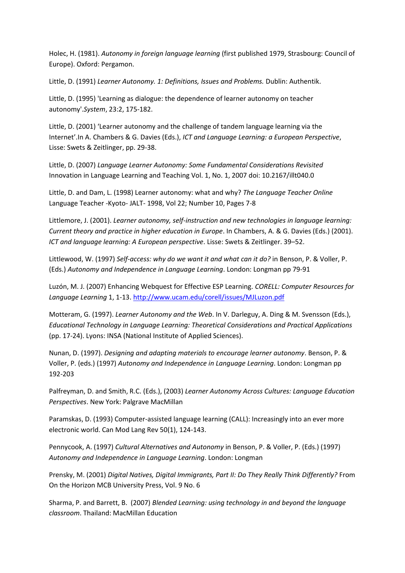Holec, H. (1981). *Autonomy in foreign language learning* (first published 1979, Strasbourg: Council of Europe). Oxford: Pergamon.

Little, D. (1991) *Learner Autonomy. 1: Definitions, Issues and Problems.* Dublin: Authentik.

Little, D. (1995) 'Learning as dialogue: the dependence of learner autonomy on teacher autonomy'.*System*, 23:2, 175-182.

Little, D. (2001) 'Learner autonomy and the challenge of tandem language learning via the Internet'.In A. Chambers & G. Davies (Eds.), *ICT and Language Learning: a European Perspective*, Lisse: Swets & Zeitlinger, pp. 29-38.

Little, D. (2007) *Language Learner Autonomy: Some Fundamental Considerations Revisited* Innovation in Language Learning and Teaching Vol. 1, No. 1, 2007 doi: 10.2167/illt040.0

Little, D. and Dam, L. (1998) Learner autonomy: what and why? *The Language Teacher Online* Language Teacher -Kyoto- JALT- 1998, Vol 22; Number 10, Pages 7-8

Littlemore, J. (2001). *Learner autonomy, self-instruction and new technologies in language learning: Current theory and practice in higher education in Europe*. In Chambers, A. & G. Davies (Eds.) (2001). *ICT and language learning: A European perspective*. Lisse: Swets & Zeitlinger. 39–52.

Littlewood, W. (1997) *Self-access: why do we want it and what can it do?* in Benson, P. & Voller, P. (Eds.) *Autonomy and Independence in Language Learning*. London: Longman pp 79-91

Luzón, M. J. (2007) Enhancing Webquest for Effective ESP Learning. *CORELL: Computer Resources for Language Learning* 1, 1-13. <http://www.ucam.edu/corell/issues/MJLuzon.pdf>

Motteram, G. (1997). *Learner Autonomy and the Web*. In V. Darleguy, A. Ding & M. Svensson (Eds.), *Educational Technology in Language Learning: Theoretical Considerations and Practical Applications* (pp. 17-24). Lyons: INSA (National Institute of Applied Sciences).

Nunan, D. (1997). *Designing and adapting materials to encourage learner autonomy*. Benson, P. & Voller, P. (eds.) (1997) *Autonomy and Independence in Language Learning*. London: Longman pp 192-203

Palfreyman, D. and Smith, R.C. (Eds.), (2003) *Learner Autonomy Across Cultures: Language Education Perspectives*. New York: Palgrave MacMillan

Paramskas, D. (1993) Computer-assisted language learning (CALL): Increasingly into an ever more electronic world. Can Mod Lang Rev 50(1), 124-143.

Pennycook, A. (1997) *Cultural Alternatives and Autonomy* in Benson, P. & Voller, P. (Eds.) (1997) *Autonomy and Independence in Language Learning*. London: Longman

Prensky, M. (2001) *Digital Natives, Digital Immigrants, Part II: Do They Really Think Differently?* From On the Horizon MCB University Press, Vol. 9 No. 6

Sharma, P. and Barrett, B. (2007) *Blended Learning: using technology in and beyond the language classroom*. Thailand: MacMillan Education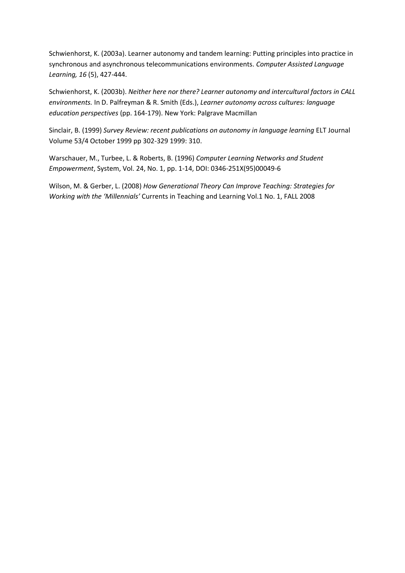Schwienhorst, K. (2003a). Learner autonomy and tandem learning: Putting principles into practice in synchronous and asynchronous telecommunications environments. *Computer Assisted Language Learning, 16* (5), 427-444.

Schwienhorst, K. (2003b). *Neither here nor there? Learner autonomy and intercultural factors in CALL environments.* In D. Palfreyman & R. Smith (Eds.), *Learner autonomy across cultures: language education perspectives* (pp. 164-179). New York: Palgrave Macmillan

Sinclair, B. (1999) *Survey Review: recent publications on autonomy in language learning* ELT Journal Volume 53/4 October 1999 pp 302-329 1999: 310.

Warschauer, M., Turbee, L. & Roberts, B. (1996) *Computer Learning Networks and Student Empowerment*, System, Vol. 24, No. 1, pp. 1-14, DOI: 0346-251X(95)00049-6

Wilson, M. & Gerber, L. (2008) *How Generational Theory Can Improve Teaching: Strategies for Working with the 'Millennials'* Currents in Teaching and Learning Vol.1 No. 1, FALL 2008